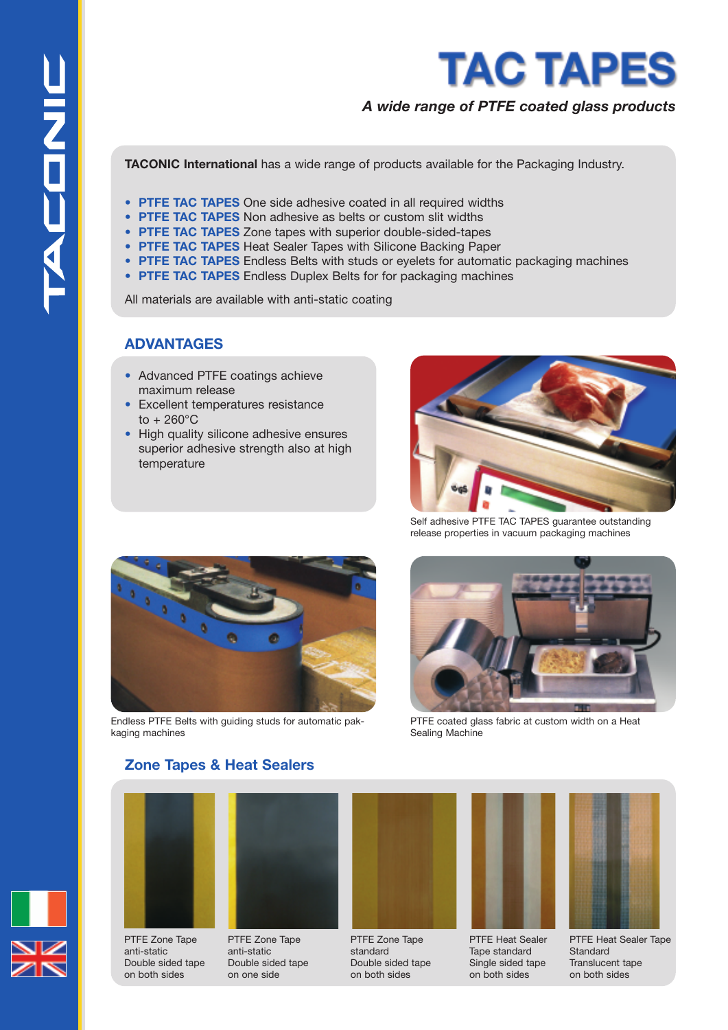

# *A wide range of PTFE coated glass products*

**TACONIC International** has a wide range of products available for the Packaging Industry.

- **PTFE TAC TAPES** One side adhesive coated in all required widths
- **PTFE TAC TAPES** Non adhesive as belts or custom slit widths
- **PTFE TAC TAPES** Zone tapes with superior double-sided-tapes
- **PTFE TAC TAPES** Heat Sealer Tapes with Silicone Backing Paper
- **PTFE TAC TAPES** Endless Belts with studs or eyelets for automatic packaging machines
- **PTFE TAC TAPES** Endless Duplex Belts for for packaging machines

All materials are available with anti-static coating

## **ADVANTAGES**

- Advanced PTFE coatings achieve maximum release
- Excellent temperatures resistance to + 260°C
- High quality silicone adhesive ensures superior adhesive strength also at high temperature



Self adhesive PTFE TAC TAPES guarantee outstanding release properties in vacuum packaging machines



Endless PTFE Belts with guiding studs for automatic pakkaging machines



PTFE coated glass fabric at custom width on a Heat Sealing Machine

# **Zone Tapes & Heat Sealers**



PTFE Zone Tape anti-static Double sided tape on both sides



PTFE Zone Tape anti-static Double sided tape on one side







PTFE Heat Sealer Tape standard Single sided tape on both sides



PTFE Heat Sealer Tape **Standard** Translucent tape on both sides